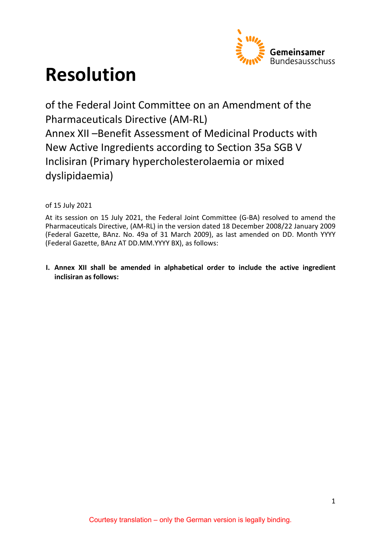

# **Resolution**

of the Federal Joint Committee on an Amendment of the Pharmaceuticals Directive (AM-RL) Annex XII –Benefit Assessment of Medicinal Products with New Active Ingredients according to Section 35a SGB V Inclisiran (Primary hypercholesterolaemia or mixed dyslipidaemia)

of 15 July 2021

At its session on 15 July 2021, the Federal Joint Committee (G-BA) resolved to amend the Pharmaceuticals Directive, (AM-RL) in the version dated 18 December 2008/22 January 2009 (Federal Gazette, BAnz. No. 49a of 31 March 2009), as last amended on DD. Month YYYY (Federal Gazette, BAnz AT DD.MM.YYYY BX), as follows:

**I. Annex XII shall be amended in alphabetical order to include the active ingredient inclisiran as follows:**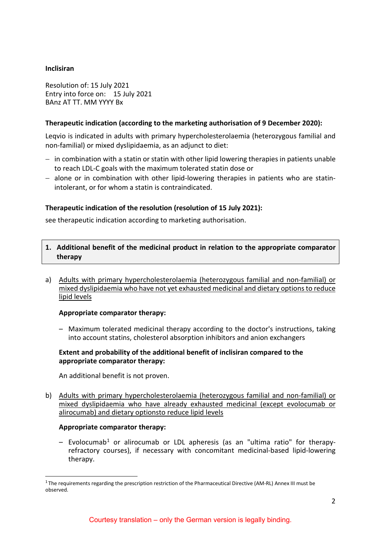# **Inclisiran**

Resolution of: 15 July 2021 Entry into force on: 15 July 2021 BAnz AT TT. MM YYYY Bx

# **Therapeutic indication (according to the marketing authorisation of 9 December 2020):**

Leqvio is indicated in adults with primary hypercholesterolaemia (heterozygous familial and non-familial) or mixed dyslipidaemia, as an adjunct to diet:

- − in combination with a statin or statin with other lipid lowering therapies in patients unable to reach LDL-C goals with the maximum tolerated statin dose or
- − alone or in combination with other lipid-lowering therapies in patients who are statinintolerant, or for whom a statin is contraindicated.

# **Therapeutic indication of the resolution (resolution of 15 July 2021):**

see therapeutic indication according to marketing authorisation.

- **1. Additional benefit of the medicinal product in relation to the appropriate comparator therapy**
- a) Adults with primary hypercholesterolaemia (heterozygous familial and non-familial) or mixed dyslipidaemia who have not yet exhausted medicinal and dietary options to reduce lipid levels

# **Appropriate comparator therapy:**

– Maximum tolerated medicinal therapy according to the doctor's instructions, taking into account statins, cholesterol absorption inhibitors and anion exchangers

# **Extent and probability of the additional benefit of inclisiran compared to the appropriate comparator therapy:**

An additional benefit is not proven.

b) Adults with primary hypercholesterolaemia (heterozygous familial and non-familial) or mixed dyslipidaemia who have already exhausted medicinal (except evolocumab or alirocumab) and dietary optionsto reduce lipid levels

#### **Appropriate comparator therapy:**

<span id="page-1-0"></span> $-$  Evolocumab<sup>[1](#page-1-1)</sup> or alirocuma[b](#page-1-0) or LDL apheresis (as an "ultima ratio" for therapyrefractory courses), if necessary with concomitant medicinal-based lipid-lowering therapy.

<span id="page-1-1"></span> $1$ The requirements regarding the prescription restriction of the Pharmaceutical Directive (AM-RL) Annex III must be observed.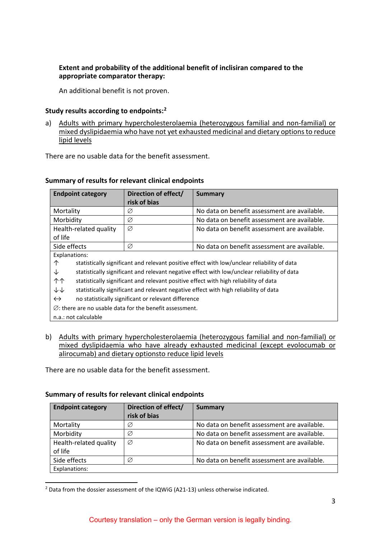# **Extent and probability of the additional benefit of inclisiran compared to the appropriate comparator therapy:**

An additional benefit is not proven.

# **Study results according to endpoints:[2](#page-2-0)**

a) Adults with primary hypercholesterolaemia (heterozygous familial and non-familial) or mixed dyslipidaemia who have not yet exhausted medicinal and dietary options to reduce lipid levels

There are no usable data for the benefit assessment.

| <b>Endpoint category</b>                                                                         | Direction of effect/ | Summary                                      |
|--------------------------------------------------------------------------------------------------|----------------------|----------------------------------------------|
|                                                                                                  | risk of bias         |                                              |
|                                                                                                  |                      |                                              |
| Mortality                                                                                        | Ø                    | No data on benefit assessment are available. |
| Morbidity                                                                                        | Ø                    | No data on benefit assessment are available. |
| Health-related quality                                                                           | Ø                    | No data on benefit assessment are available. |
| of life                                                                                          |                      |                                              |
| Side effects                                                                                     | Ø                    | No data on benefit assessment are available. |
| Explanations:                                                                                    |                      |                                              |
| 个<br>statistically significant and relevant positive effect with low/unclear reliability of data |                      |                                              |
| statistically significant and relevant negative effect with low/unclear reliability of data<br>↓ |                      |                                              |
| 个个<br>statistically significant and relevant positive effect with high reliability of data       |                      |                                              |
| ↓↓<br>statistically significant and relevant negative effect with high reliability of data       |                      |                                              |
| $\leftrightarrow$<br>no statistically significant or relevant difference                         |                      |                                              |
| $\varnothing$ : there are no usable data for the benefit assessment.                             |                      |                                              |
| n.a.: not calculable                                                                             |                      |                                              |

# **Summary of results for relevant clinical endpoints**

b) Adults with primary hypercholesterolaemia (heterozygous familial and non-familial) or mixed dyslipidaemia who have already exhausted medicinal (except evolocumab or alirocumab) and dietary optionsto reduce lipid levels

There are no usable data for the benefit assessment.

# **Summary of results for relevant clinical endpoints**

| <b>Endpoint category</b> | Direction of effect/<br>risk of bias | <b>Summary</b>                               |
|--------------------------|--------------------------------------|----------------------------------------------|
| Mortality                | Ø                                    | No data on benefit assessment are available. |
| Morbidity                | Ø                                    | No data on benefit assessment are available. |
| Health-related quality   | Ø                                    | No data on benefit assessment are available. |
| of life                  |                                      |                                              |
| Side effects             | Ø                                    | No data on benefit assessment are available. |
| Explanations:            |                                      |                                              |

<span id="page-2-0"></span> <sup>2</sup> Data from the dossier assessment of the IQWiG (A21-13) unless otherwise indicated.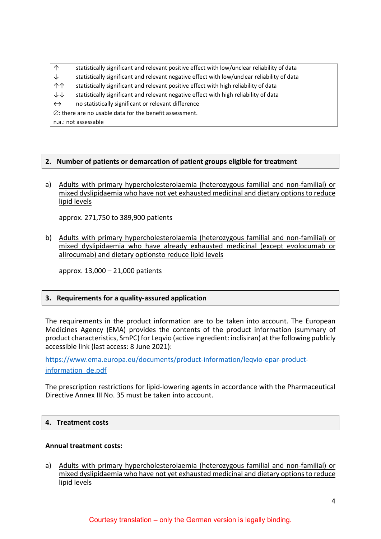↑ statistically significant and relevant positive effect with low/unclear reliability of data

- $\downarrow$  statistically significant and relevant negative effect with low/unclear reliability of data
- ↑↑ statistically significant and relevant positive effect with high reliability of data
- ↓↓ statistically significant and relevant negative effect with high reliability of data
- ↔ no statistically significant or relevant difference

∅: there are no usable data for the benefit assessment.

# **2. Number of patients or demarcation of patient groups eligible for treatment**

a) Adults with primary hypercholesterolaemia (heterozygous familial and non-familial) or mixed dyslipidaemia who have not yet exhausted medicinal and dietary options to reduce lipid levels

approx. 271,750 to 389,900 patients

b) Adults with primary hypercholesterolaemia (heterozygous familial and non-familial) or mixed dyslipidaemia who have already exhausted medicinal (except evolocumab or alirocumab) and dietary optionsto reduce lipid levels

approx. 13,000 – 21,000 patients

# **3. Requirements for a quality-assured application**

The requirements in the product information are to be taken into account. The European Medicines Agency (EMA) provides the contents of the product information (summary of product characteristics, SmPC) for Leqvio (active ingredient: inclisiran) at the following publicly accessible link (last access: 8 June 2021):

[https://www.ema.europa.eu/documents/product-information/leqvio-epar-product](https://www.ema.europa.eu/documents/product-information/leqvio-epar-product-information_de.pdf)[information\\_de.pdf](https://www.ema.europa.eu/documents/product-information/leqvio-epar-product-information_de.pdf)

The prescription restrictions for lipid-lowering agents in accordance with the Pharmaceutical Directive Annex III No. 35 must be taken into account.

#### **4. Treatment costs**

#### **Annual treatment costs:**

a) Adults with primary hypercholesterolaemia (heterozygous familial and non-familial) or mixed dyslipidaemia who have not yet exhausted medicinal and dietary options to reduce lipid levels

n.a.: not assessable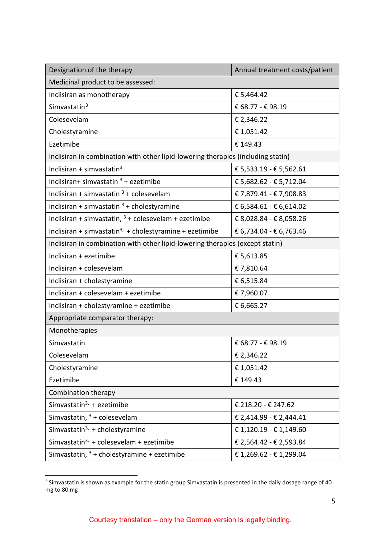<span id="page-4-0"></span>

| Designation of the therapy                                                       | Annual treatment costs/patient |  |
|----------------------------------------------------------------------------------|--------------------------------|--|
| Medicinal product to be assessed:                                                |                                |  |
| Inclisiran as monotherapy                                                        | € 5,464.42                     |  |
| Simvastatin <sup>3</sup>                                                         | € 68.77 - € 98.19              |  |
| Colesevelam                                                                      | € 2,346.22                     |  |
| Cholestyramine                                                                   | €1,051.42                      |  |
| Ezetimibe                                                                        | €149.43                        |  |
| Inclisiran in combination with other lipid-lowering therapies (including statin) |                                |  |
| Inclisiran + simvastatin $3$                                                     | € 5,533.19 - € 5,562.61        |  |
| Inclisiran+ simvastatin $3 +$ ezetimibe                                          | € 5,682.62 - € 5,712.04        |  |
| Inclisiran + simvastatin $3 +$ colesevelam                                       | € 7,879.41 - € 7,908.83        |  |
| Inclisiran + simvastatin $3 +$ cholestyramine                                    | € 6,584.61 - € 6,614.02        |  |
| Inclisiran + simvastatin, $3 +$ colesevelam + ezetimibe                          | € 8,028.84 - € 8,058.26        |  |
| Inclisiran + simvastatin <sup>3,</sup> + cholestyramine + ezetimibe              | € 6,734.04 - € 6,763.46        |  |
| Inclisiran in combination with other lipid-lowering therapies (except statin)    |                                |  |
| Inclisiran + ezetimibe                                                           | € 5,613.85                     |  |
| Inclisiran + colesevelam                                                         | €7,810.64                      |  |
| Inclisiran + cholestyramine                                                      | € 6,515.84                     |  |
| Inclisiran + colesevelam + ezetimibe                                             | €7,960.07                      |  |
| Inclisiran + cholestyramine + ezetimibe                                          | € 6,665.27                     |  |
| Appropriate comparator therapy:                                                  |                                |  |
| Monotherapies                                                                    |                                |  |
| Simvastatin                                                                      | € 68.77 - € 98.19              |  |
| Colesevelam                                                                      | € 2,346.22                     |  |
| Cholestyramine                                                                   | €1,051.42                      |  |
| Ezetimibe                                                                        | €149.43                        |  |
| Combination therapy                                                              |                                |  |
| Simvastatin <sup>3,</sup> + ezetimibe                                            | € 218.20 - € 247.62            |  |
| Simvastatin, $3 +$ colesevelam                                                   | € 2,414.99 - € 2,444.41        |  |
| Simvastatin <sup>3,</sup> + cholestyramine                                       | € 1,120.19 - € 1,149.60        |  |
| Simvastatin <sup>3,</sup> + colesevelam + ezetimibe                              | € 2,564.42 - € 2,593.84        |  |
| Simvastatin, $3 +$ cholestyramine + ezetimibe                                    | € 1,269.62 - € 1,299.04        |  |

<span id="page-4-1"></span>**THE SECTS SECTS SECTS 2018**<br><sup>3</sup> Simvastatin is shown as example for the statin group Simvastatin is presented in the daily dosage range of 40 mg to 80 mg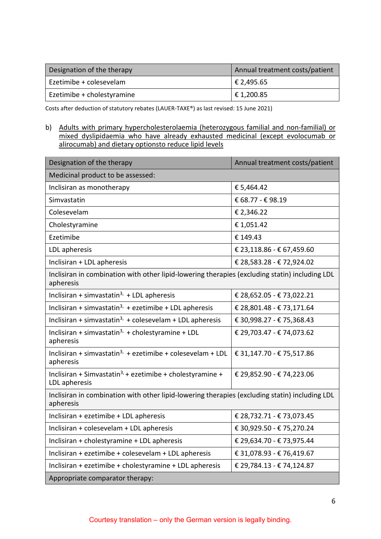| Designation of the therapy | Annual treatment costs/patient |
|----------------------------|--------------------------------|
| Ezetimibe + colesevelam    | $\in$ 2,495.65                 |
| Ezetimibe + cholestyramine | $\in$ 1,200.85                 |

Costs after deduction of statutory rebates (LAUER-TAXE®) as last revised: 15 June 2021)

b) Adults with primary hypercholesterolaemia (heterozygous familial and non-familial) or mixed dyslipidaemia who have already exhausted medicinal (except evolocumab or alirocumab) and dietary optionsto reduce lipid levels

| Designation of the therapy                                                                                  | Annual treatment costs/patient |  |
|-------------------------------------------------------------------------------------------------------------|--------------------------------|--|
| Medicinal product to be assessed:                                                                           |                                |  |
| Inclisiran as monotherapy                                                                                   | € 5,464.42                     |  |
| Simvastatin                                                                                                 | € 68.77 - € 98.19              |  |
| Colesevelam                                                                                                 | € 2,346.22                     |  |
| Cholestyramine                                                                                              | € 1,051.42                     |  |
| Ezetimibe                                                                                                   | €149.43                        |  |
| LDL apheresis                                                                                               | € 23,118.86 - € 67,459.60      |  |
| Inclisiran + LDL apheresis                                                                                  | € 28,583.28 - € 72,924.02      |  |
| Inclisiran in combination with other lipid-lowering therapies (excluding statin) including LDL<br>apheresis |                                |  |
| Inclisiran + simvastatin <sup>3,</sup> + LDL apheresis                                                      | € 28,652.05 - € 73,022.21      |  |
| Inclisiran + simvastatin <sup>3,</sup> + ezetimibe + LDL apheresis                                          | € 28,801.48 - € 73,171.64      |  |
| Inclisiran + simvastatin <sup>3,</sup> + colesevelam + LDL apheresis                                        | € 30,998.27 - € 75,368.43      |  |
| Inclisiran + simvastatin <sup>3,</sup> + cholestyramine + LDL<br>apheresis                                  | € 29,703.47 - € 74,073.62      |  |
| Inclisiran + simvastatin <sup>3,</sup> + ezetimibe + colesevelam + LDL<br>apheresis                         | € 31,147.70 - € 75,517.86      |  |
| Inclisiran + Simvastatin <sup>3,</sup> + ezetimibe + cholestyramine +<br>LDL apheresis                      | € 29,852.90 - € 74,223.06      |  |
| Inclisiran in combination with other lipid-lowering therapies (excluding statin) including LDL<br>apheresis |                                |  |
| Inclisiran + ezetimibe + LDL apheresis                                                                      | € 28,732.71 - € 73,073.45      |  |
| Inclisiran + colesevelam + LDL apheresis                                                                    | € 30,929.50 - € 75,270.24      |  |
| Inclisiran + cholestyramine + LDL apheresis                                                                 | € 29,634.70 - € 73,975.44      |  |
| Inclisiran + ezetimibe + colesevelam + LDL apheresis                                                        | € 31,078.93 - € 76,419.67      |  |
| Inclisiran + ezetimibe + cholestyramine + LDL apheresis                                                     | € 29,784.13 - € 74,124.87      |  |
| Appropriate comparator therapy:                                                                             |                                |  |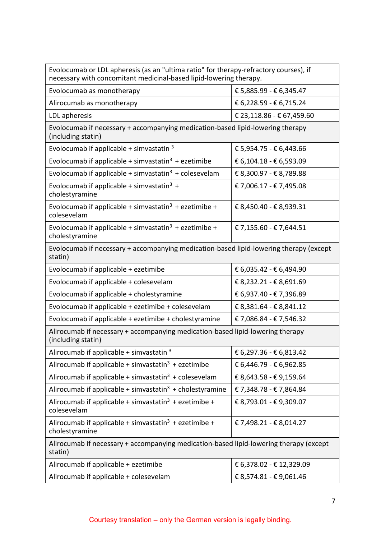| Evolocumab or LDL apheresis (as an "ultima ratio" for therapy-refractory courses), if<br>necessary with concomitant medicinal-based lipid-lowering therapy. |                           |  |
|-------------------------------------------------------------------------------------------------------------------------------------------------------------|---------------------------|--|
| Evolocumab as monotherapy                                                                                                                                   | € 5,885.99 - € 6,345.47   |  |
| Alirocumab as monotherapy                                                                                                                                   | € 6,228.59 - € 6,715.24   |  |
| LDL apheresis                                                                                                                                               | € 23,118.86 - € 67,459.60 |  |
| Evolocumab if necessary + accompanying medication-based lipid-lowering therapy<br>(including statin)                                                        |                           |  |
| Evolocumab if applicable + simvastatin $3$                                                                                                                  | € 5,954.75 - € 6,443.66   |  |
| Evolocumab if applicable + simvastatin <sup>3</sup> + ezetimibe                                                                                             | € 6,104.18 - € 6,593.09   |  |
| Evolocumab if applicable + simvastatin <sup>3</sup> + colesevelam                                                                                           | € 8,300.97 - € 8,789.88   |  |
| Evolocumab if applicable + simvastatin <sup>3</sup> +<br>cholestyramine                                                                                     | € 7,006.17 - € 7,495.08   |  |
| Evolocumab if applicable + simvastatin <sup>3</sup> + ezetimibe +<br>colesevelam                                                                            | € 8,450.40 - € 8,939.31   |  |
| Evolocumab if applicable + simvastatin <sup>3</sup> + ezetimibe +<br>cholestyramine                                                                         | € 7,155.60 - € 7,644.51   |  |
| Evolocumab if necessary + accompanying medication-based lipid-lowering therapy (except<br>statin)                                                           |                           |  |
| Evolocumab if applicable + ezetimibe                                                                                                                        | € 6,035.42 - € 6,494.90   |  |
| Evolocumab if applicable + colesevelam                                                                                                                      | € 8,232.21 - € 8,691.69   |  |
| Evolocumab if applicable + cholestyramine                                                                                                                   | € 6,937.40 - € 7,396.89   |  |
| Evolocumab if applicable + ezetimibe + colesevelam                                                                                                          | € 8,381.64 - € 8,841.12   |  |
| Evolocumab if applicable + ezetimibe + cholestyramine                                                                                                       | € 7,086.84 - € 7,546.32   |  |
| Alirocumab if necessary + accompanying medication-based lipid-lowering therapy<br>(including statin)                                                        |                           |  |
| Alirocumab if applicable + simvastatin $3$                                                                                                                  | € 6,297.36 - € 6,813.42   |  |
| Alirocumab if applicable + simvastatin $3 +$ ezetimibe                                                                                                      | € 6,446.79 - € 6,962.85   |  |
| Alirocumab if applicable + simvastatin <sup>3</sup> + colesevelam                                                                                           | € 8,643.58 - € 9,159.64   |  |
| Alirocumab if applicable + simvastatin <sup>3</sup> + cholestyramine                                                                                        | € 7,348.78 - € 7,864.84   |  |
| Alirocumab if applicable + simvastatin <sup>3</sup> + ezetimibe +<br>colesevelam                                                                            | € 8,793.01 - € 9,309.07   |  |
| Alirocumab if applicable + simvastatin <sup>3</sup> + ezetimibe +<br>cholestyramine                                                                         | € 7,498.21 - € 8,014.27   |  |
| Alirocumab if necessary + accompanying medication-based lipid-lowering therapy (except<br>statin)                                                           |                           |  |
| Alirocumab if applicable + ezetimibe                                                                                                                        | € 6,378.02 - € 12,329.09  |  |
| Alirocumab if applicable + colesevelam                                                                                                                      | € 8,574.81 - € 9,061.46   |  |